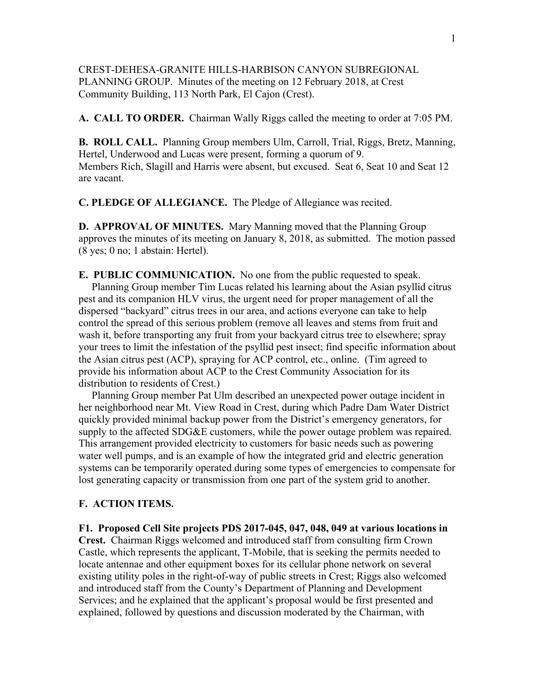## CREST-DEHESA-GRANITE HILLS-HARBISON CANYON SUBREGIONAL PLANNING GROUP. Minutes of the meeting on 12 February 2018, at Crest Community Building, 113 North Park, El Cajon (Crest).

**A. CALL TO ORDER.** Chairman Wally Riggs called the meeting to order at 7:05 PM.

**B. ROLL CALL.** Planning Group members Ulm, Carroll, Trial, Riggs, Bretz, Manning, Hertel, Underwood and Lucas were present, forming a quorum of 9. Members Rich, Slagill and Harris were absent, but excused. Seat 6, Seat 10 and Seat 12 are vacant.

**C. PLEDGE OF ALLEGIANCE.** The Pledge of Allegiance was recited.

**D. APPROVAL OF MINUTES.** Mary Manning moved that the Planning Group approves the minutes of its meeting on January 8, 2018, as submitted. The motion passed (8 yes; 0 no; 1 abstain: Hertel).

**E. PUBLIC COMMUNICATION.** No one from the public requested to speak. Planning Group member Tim Lucas related his learning about the Asian psyllid citrus pest and its companion HLV virus, the urgent need for proper management of all the dispersed "backyard" citrus trees in our area, and actions everyone can take to help control the spread of this serious problem (remove all leaves and stems from fruit and wash it, before transporting any fruit from your backyard citrus tree to elsewhere; spray your trees to limit the infestation of the psyllid pest insect; find specific information about the Asian citrus pest (ACP), spraying for ACP control, etc., online. (Tim agreed to provide his information about ACP to the Crest Community Association for its distribution to residents of Crest.)

 Planning Group member Pat Ulm described an unexpected power outage incident in her neighborhood near Mt. View Road in Crest, during which Padre Dam Water District quickly provided minimal backup power from the District's emergency generators, for supply to the affected SDG&E customers, while the power outage problem was repaired. This arrangement provided electricity to customers for basic needs such as powering water well pumps, and is an example of how the integrated grid and electric generation systems can be temporarily operated during some types of emergencies to compensate for lost generating capacity or transmission from one part of the system grid to another.

## **F. ACTION ITEMS.**

**F1. Proposed Cell Site projects PDS 2017-045, 047, 048, 049 at various locations in Crest.** Chairman Riggs welcomed and introduced staff from consulting firm Crown Castle, which represents the applicant, T-Mobile, that is seeking the permits needed to locate antennae and other equipment boxes for its cellular phone network on several existing utility poles in the right-of-way of public streets in Crest; Riggs also welcomed and introduced staff from the County's Department of Planning and Development Services; and he explained that the applicant's proposal would be first presented and explained, followed by questions and discussion moderated by the Chairman, with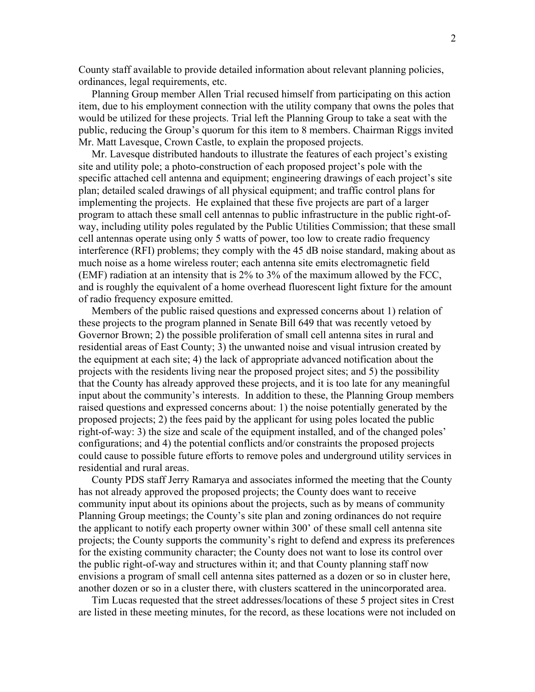County staff available to provide detailed information about relevant planning policies, ordinances, legal requirements, etc.

 Planning Group member Allen Trial recused himself from participating on this action item, due to his employment connection with the utility company that owns the poles that would be utilized for these projects. Trial left the Planning Group to take a seat with the public, reducing the Group's quorum for this item to 8 members. Chairman Riggs invited Mr. Matt Lavesque, Crown Castle, to explain the proposed projects.

 Mr. Lavesque distributed handouts to illustrate the features of each project's existing site and utility pole; a photo-construction of each proposed project's pole with the specific attached cell antenna and equipment; engineering drawings of each project's site plan; detailed scaled drawings of all physical equipment; and traffic control plans for implementing the projects. He explained that these five projects are part of a larger program to attach these small cell antennas to public infrastructure in the public right-ofway, including utility poles regulated by the Public Utilities Commission; that these small cell antennas operate using only 5 watts of power, too low to create radio frequency interference (RFI) problems; they comply with the 45 dB noise standard, making about as much noise as a home wireless router; each antenna site emits electromagnetic field (EMF) radiation at an intensity that is 2% to 3% of the maximum allowed by the FCC, and is roughly the equivalent of a home overhead fluorescent light fixture for the amount of radio frequency exposure emitted.

 Members of the public raised questions and expressed concerns about 1) relation of these projects to the program planned in Senate Bill 649 that was recently vetoed by Governor Brown; 2) the possible proliferation of small cell antenna sites in rural and residential areas of East County; 3) the unwanted noise and visual intrusion created by the equipment at each site; 4) the lack of appropriate advanced notification about the projects with the residents living near the proposed project sites; and 5) the possibility that the County has already approved these projects, and it is too late for any meaningful input about the community's interests. In addition to these, the Planning Group members raised questions and expressed concerns about: 1) the noise potentially generated by the proposed projects; 2) the fees paid by the applicant for using poles located the public right-of-way: 3) the size and scale of the equipment installed, and of the changed poles' configurations; and 4) the potential conflicts and/or constraints the proposed projects could cause to possible future efforts to remove poles and underground utility services in residential and rural areas.

 County PDS staff Jerry Ramarya and associates informed the meeting that the County has not already approved the proposed projects; the County does want to receive community input about its opinions about the projects, such as by means of community Planning Group meetings; the County's site plan and zoning ordinances do not require the applicant to notify each property owner within 300' of these small cell antenna site projects; the County supports the community's right to defend and express its preferences for the existing community character; the County does not want to lose its control over the public right-of-way and structures within it; and that County planning staff now envisions a program of small cell antenna sites patterned as a dozen or so in cluster here, another dozen or so in a cluster there, with clusters scattered in the unincorporated area.

 Tim Lucas requested that the street addresses/locations of these 5 project sites in Crest are listed in these meeting minutes, for the record, as these locations were not included on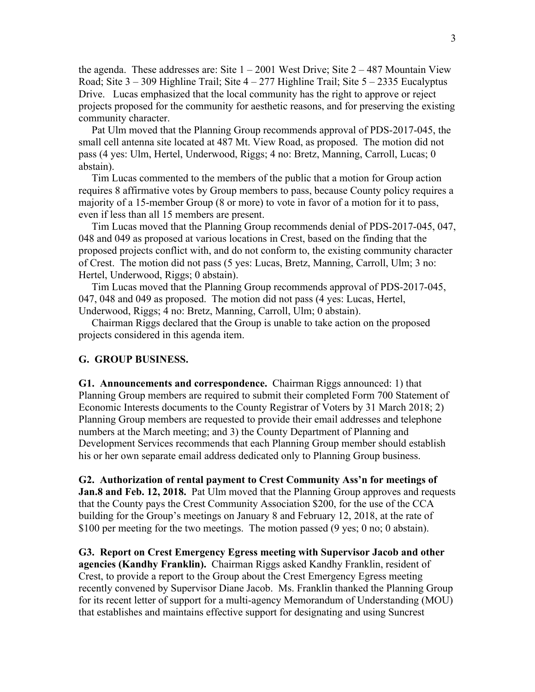the agenda. These addresses are: Site  $1 - 2001$  West Drive; Site  $2 - 487$  Mountain View Road; Site  $3 - 309$  Highline Trail; Site  $4 - 277$  Highline Trail; Site  $5 - 2335$  Eucalyptus Drive. Lucas emphasized that the local community has the right to approve or reject projects proposed for the community for aesthetic reasons, and for preserving the existing community character.

 Pat Ulm moved that the Planning Group recommends approval of PDS-2017-045, the small cell antenna site located at 487 Mt. View Road, as proposed. The motion did not pass (4 yes: Ulm, Hertel, Underwood, Riggs; 4 no: Bretz, Manning, Carroll, Lucas; 0 abstain).

 Tim Lucas commented to the members of the public that a motion for Group action requires 8 affirmative votes by Group members to pass, because County policy requires a majority of a 15-member Group (8 or more) to vote in favor of a motion for it to pass, even if less than all 15 members are present.

 Tim Lucas moved that the Planning Group recommends denial of PDS-2017-045, 047, 048 and 049 as proposed at various locations in Crest, based on the finding that the proposed projects conflict with, and do not conform to, the existing community character of Crest. The motion did not pass (5 yes: Lucas, Bretz, Manning, Carroll, Ulm; 3 no: Hertel, Underwood, Riggs; 0 abstain).

 Tim Lucas moved that the Planning Group recommends approval of PDS-2017-045, 047, 048 and 049 as proposed. The motion did not pass (4 yes: Lucas, Hertel, Underwood, Riggs; 4 no: Bretz, Manning, Carroll, Ulm; 0 abstain).

 Chairman Riggs declared that the Group is unable to take action on the proposed projects considered in this agenda item.

## **G. GROUP BUSINESS.**

**G1. Announcements and correspondence.** Chairman Riggs announced: 1) that Planning Group members are required to submit their completed Form 700 Statement of Economic Interests documents to the County Registrar of Voters by 31 March 2018; 2) Planning Group members are requested to provide their email addresses and telephone numbers at the March meeting; and 3) the County Department of Planning and Development Services recommends that each Planning Group member should establish his or her own separate email address dedicated only to Planning Group business.

**G2. Authorization of rental payment to Crest Community Ass'n for meetings of Jan.8 and Feb. 12, 2018.** Pat Ulm moved that the Planning Group approves and requests that the County pays the Crest Community Association \$200, for the use of the CCA building for the Group's meetings on January 8 and February 12, 2018, at the rate of \$100 per meeting for the two meetings. The motion passed (9 yes; 0 no; 0 abstain).

**G3. Report on Crest Emergency Egress meeting with Supervisor Jacob and other agencies (Kandhy Franklin).** Chairman Riggs asked Kandhy Franklin, resident of Crest, to provide a report to the Group about the Crest Emergency Egress meeting recently convened by Supervisor Diane Jacob. Ms. Franklin thanked the Planning Group for its recent letter of support for a multi-agency Memorandum of Understanding (MOU) that establishes and maintains effective support for designating and using Suncrest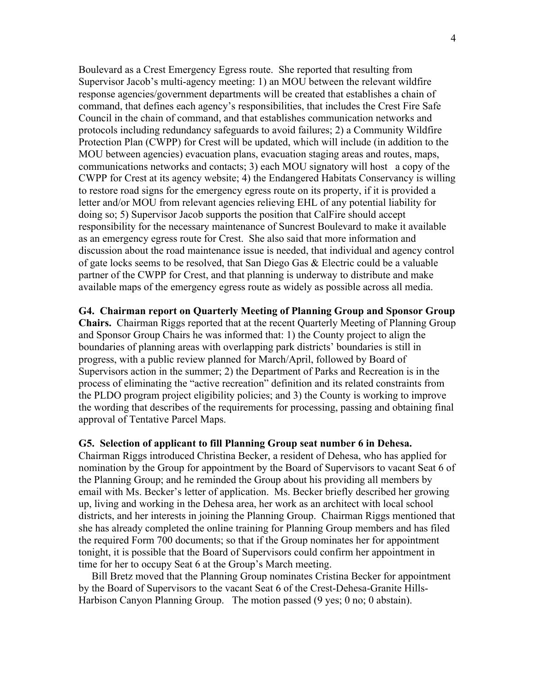Boulevard as a Crest Emergency Egress route. She reported that resulting from Supervisor Jacob's multi-agency meeting: 1) an MOU between the relevant wildfire response agencies/government departments will be created that establishes a chain of command, that defines each agency's responsibilities, that includes the Crest Fire Safe Council in the chain of command, and that establishes communication networks and protocols including redundancy safeguards to avoid failures; 2) a Community Wildfire Protection Plan (CWPP) for Crest will be updated, which will include (in addition to the MOU between agencies) evacuation plans, evacuation staging areas and routes, maps, communications networks and contacts; 3) each MOU signatory will host a copy of the CWPP for Crest at its agency website; 4) the Endangered Habitats Conservancy is willing to restore road signs for the emergency egress route on its property, if it is provided a letter and/or MOU from relevant agencies relieving EHL of any potential liability for doing so; 5) Supervisor Jacob supports the position that CalFire should accept responsibility for the necessary maintenance of Suncrest Boulevard to make it available as an emergency egress route for Crest. She also said that more information and discussion about the road maintenance issue is needed, that individual and agency control of gate locks seems to be resolved, that San Diego Gas & Electric could be a valuable partner of the CWPP for Crest, and that planning is underway to distribute and make available maps of the emergency egress route as widely as possible across all media.

**G4. Chairman report on Quarterly Meeting of Planning Group and Sponsor Group Chairs.** Chairman Riggs reported that at the recent Quarterly Meeting of Planning Group and Sponsor Group Chairs he was informed that: 1) the County project to align the boundaries of planning areas with overlapping park districts' boundaries is still in progress, with a public review planned for March/April, followed by Board of Supervisors action in the summer; 2) the Department of Parks and Recreation is in the process of eliminating the "active recreation" definition and its related constraints from the PLDO program project eligibility policies; and 3) the County is working to improve the wording that describes of the requirements for processing, passing and obtaining final approval of Tentative Parcel Maps.

## **G5. Selection of applicant to fill Planning Group seat number 6 in Dehesa.**

Chairman Riggs introduced Christina Becker, a resident of Dehesa, who has applied for nomination by the Group for appointment by the Board of Supervisors to vacant Seat 6 of the Planning Group; and he reminded the Group about his providing all members by email with Ms. Becker's letter of application. Ms. Becker briefly described her growing up, living and working in the Dehesa area, her work as an architect with local school districts, and her interests in joining the Planning Group. Chairman Riggs mentioned that she has already completed the online training for Planning Group members and has filed the required Form 700 documents; so that if the Group nominates her for appointment tonight, it is possible that the Board of Supervisors could confirm her appointment in time for her to occupy Seat 6 at the Group's March meeting.

 Bill Bretz moved that the Planning Group nominates Cristina Becker for appointment by the Board of Supervisors to the vacant Seat 6 of the Crest-Dehesa-Granite Hills-Harbison Canyon Planning Group. The motion passed (9 yes; 0 no; 0 abstain).